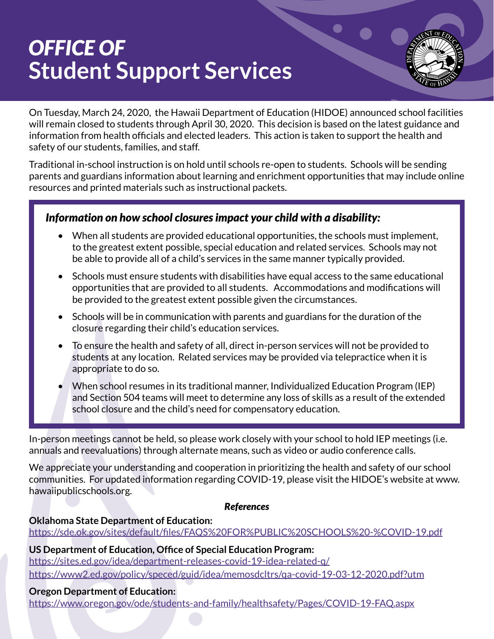# *OFFICE OF* **Student Support Services**



On Tuesday, March 24, 2020, the Hawaii Department of Education (HIDOE) announced school facilities will remain closed to students through April 30, 2020. This decision is based on the latest guidance and information from health officials and elected leaders. This action is taken to support the health and safety of our students, families, and staff.

Traditional in-school instruction is on hold until schools re-open to students. Schools will be sending parents and guardians information about learning and enrichment opportunities that may include online resources and printed materials such as instructional packets.

## *Information on how school closures impact your child with a disability:*

- When all students are provided educational opportunities, the schools must implement, to the greatest extent possible, special education and related services. Schools may not be able to provide all of a child's services in the same manner typically provided.
- Schools must ensure students with disabilities have equal access to the same educational opportunities that are provided to all students. Accommodations and modifications will be provided to the greatest extent possible given the circumstances.
- Schools will be in communication with parents and guardians for the duration of the closure regarding their child's education services.
- To ensure the health and safety of all, direct in-person services will not be provided to students at any location. Related services may be provided via telepractice when it is appropriate to do so.
- When school resumes in its traditional manner, Individualized Education Program (IEP) and Section 504 teams will meet to determine any loss of skills as a result of the extended school closure and the child's need for compensatory education.

In-person meetings cannot be held, so please work closely with your school to hold IEP meetings (i.e. annuals and reevaluations) through alternate means, such as video or audio conference calls.

We appreciate your understanding and cooperation in prioritizing the health and safety of our school communities. For updated information regarding COVID-19, please visit the HIDOE's website at www. hawaiipublicschools.org.

#### *References*

#### **Oklahoma State Department of Education:**

[https://sde.ok.gov/sites/default/files/FAQS%20FOR%PUBLIC%20SCHOOLS%20-%COVID-19.pdf](https://sde.ok.gov/sites/default/files/FAQS%20FOR%PUBLIC%20SCHOOLS%20-%COVID-19.pdf )

**US Department of Education, Office of Special Education Program:**  <https://sites.ed.gov/idea/department-releases-covid-19-idea-related-q/> <https://www2.ed.gov/policy/speced/guid/idea/memosdcltrs/qa-covid-19-03-12-2020.pdf?utm>

#### **Oregon Department of Education:**

[https://www.oregon.gov/ode/students-and-family/healthsafety/Pages/COVID-19-FAQ.aspx](https://www.oregon.gov/ode/students-and-family/healthsafety/Pages/COVID-19-FAQ.aspx )